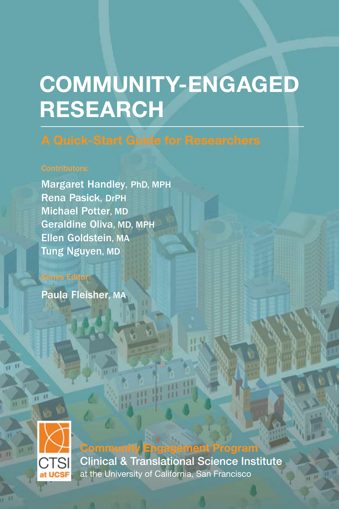# **COMMUNITY-ENGAGED RESEARCH**

Michael Potter, MD Margaret Handley, PhD, MPH Rena Pasick, DrPH Geraldine Oliva, MD, MPH Ellen Goldstein, MA Tung Nguyen, MD

Paula Fleisher, MA

Series Editor:



**Community Engagement Program** Clinical & Translational Science Institute at the University of California, San Francisco

雷带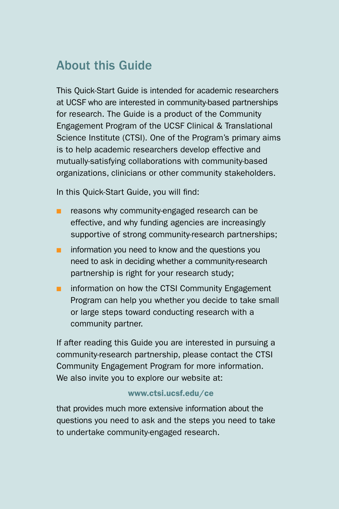### About this Guide

This Quick-Start Guide is intended for academic researchers at UCSF who are interested in community-based partnerships for research. The Guide is a product of the Community Engagement Program of the UCSF Clinical & Translational Science Institute (CTSI). One of the Program's primary aims is to help academic researchers develop effective and mutually-satisfying collaborations with community-based organizations, clinicians or other community stakeholders.

In this Quick-Start Guide, you will find:

- **n** reasons why community-engaged research can be effective, and why funding agencies are increasingly supportive of strong community-research partnerships;
- $\blacksquare$  information you need to know and the questions you need to ask in deciding whether a community-research partnership is right for your research study;
- $\blacksquare$  information on how the CTSI Community Engagement Program can help you whether you decide to take small or large steps toward conducting research with a community partner.

If after reading this Guide you are interested in pursuing a community-research partnership, please contact the CTSI Community Engagement Program for more information. We also invite you to explore our website at:

### www.ctsi.ucsf.edu/ce

that provides much more extensive information about the questions you need to ask and the steps you need to take to undertake community-engaged research.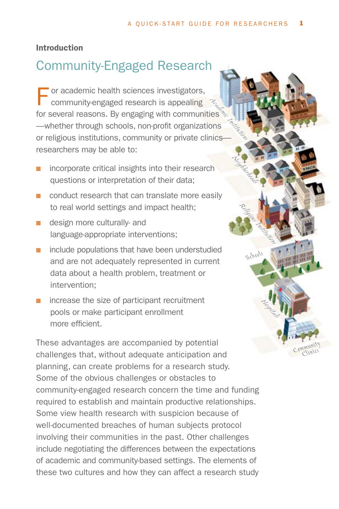**Neighborhoods** 

*Religious Institutions*

*Schools*

*Hospitals*

*Community Clinics*

### Introduction

### Community-Engaged Research

**Academic Institutions**<br> **Academic Institutions**<br> **Academic Institutions** F or academic health sciences investigators,<br>
community-engaged research is appealing for several reasons. By engaging with communities<sup>5</sup> —whether through schools, non-profit organizations or religious institutions, community or private clinicsresearchers may be able to:

- $\blacksquare$  incorporate critical insights into their research questions or interpretation of their data;
- **n** conduct research that can translate more easily to real world settings and impact health;
- $\blacksquare$  design more culturally- and language-appropriate interventions;
- $\blacksquare$  include populations that have been understudied and are not adequately represented in current data about a health problem, treatment or intervention;
- $\blacksquare$  increase the size of participant recruitment pools or make participant enrollment more efficient.

These advantages are accompanied by potential challenges that, without adequate anticipation and planning, can create problems for a research study. Some of the obvious challenges or obstacles to community-engaged research concern the time and funding required to establish and maintain productive relationships. Some view health research with suspicion because of well-documented breaches of human subjects protocol involving their communities in the past. Other challenges include negotiating the differences between the expectations of academic and community-based settings. The elements of these two cultures and how they can affect a research study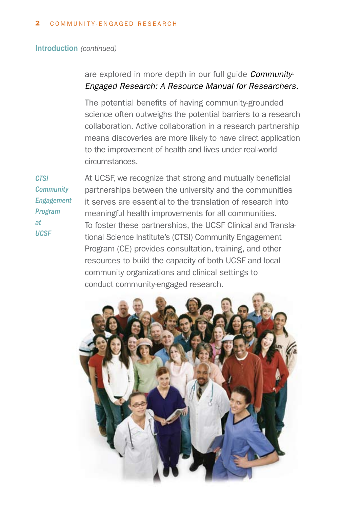#### Introduction *(continued)*

are explored in more depth in our full guide *Community-Engaged Research: A Resource Manual for Researchers.*

The potential benefits of having community-grounded science often outweighs the potential barriers to a research collaboration. Active collaboration in a research partnership means discoveries are more likely to have direct application to the improvement of health and lives under real-world circumstances.

*CTSI Community Engagement Program at UCSF*

At UCSF, we recognize that strong and mutually beneficial partnerships between the university and the communities it serves are essential to the translation of research into meaningful health improvements for all communities. To foster these partnerships, the UCSF Clinical and Translational Science Institute's (CTSI) Community Engagement Program (CE) provides consultation, training, and other resources to build the capacity of both UCSF and local community organizations and clinical settings to conduct community-engaged research.

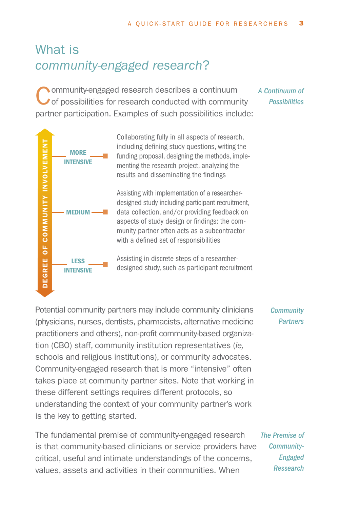## What is *community-engaged research*?

Community-engaged research describes a continuum<br>
of possibilities for research conducted with community partner participation. Examples of such possibilities include:

*A Continuum of Possibilities*



Collaborating fully in all aspects of research, including defining study questions, writing the funding proposal, designing the methods, implementing the research project, analyzing the results and disseminating the findings

Assisting with implementation of a researcherdesigned study including participant recruitment, data collection, and/or providing feedback on aspects of study design or findings; the community partner often acts as a subcontractor with a defined set of responsibilities

Assisting in discrete steps of a researcher-<br>designed study, such as participant recruitment

Potential community partners may include community clinicians (physicians, nurses, dentists, pharmacists, alternative medicine practitioners and others), non-profit community-based organization (CBO) staff, community institution representatives (*ie,* schools and religious institutions), or community advocates. Community-engaged research that is more "intensive" often takes place at community partner sites. Note that working in these different settings requires different protocols, so understanding the context of your community partner's work is the key to getting started.

*Community Partners*

The fundamental premise of community-engaged research is that community-based clinicians or service providers have critical, useful and intimate understandings of the concerns, values, assets and activities in their communities. When *The Premise of Community-Engaged Ressearch*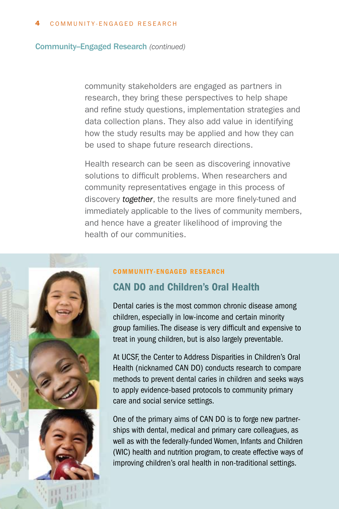#### Community--Engaged Research *(continued)*

community stakeholders are engaged as partners in research, they bring these perspectives to help shape and refine study questions, implementation strategies and data collection plans. They also add value in identifying how the study results may be applied and how they can be used to shape future research directions.

Health research can be seen as discovering innovative solutions to difficult problems. When researchers and community representatives engage in this process of discovery *together*, the results are more finely-tuned and immediately applicable to the lives of community members, and hence have a greater likelihood of improving the health of our communities.



#### COMMUNITY-ENGAGED RESEARCH

### CAN DO and Children's Oral Health

Dental caries is the most common chronic disease among children, especially in low-income and certain minority group families. The disease is very difficult and expensive to treat in young children, but is also largely preventable.

At UCSF, the Center to Address Disparities in Children's Oral Health (nicknamed CAN DO) conducts research to compare methods to prevent dental caries in children and seeks ways to apply evidence-based protocols to community primary care and social service settings.

One of the primary aims of CAN DO is to forge new partnerships with dental, medical and primary care colleagues, as well as with the federally-funded Women, Infants and Children (WIC) health and nutrition program, to create effective ways of improving children's oral health in non-traditional settings.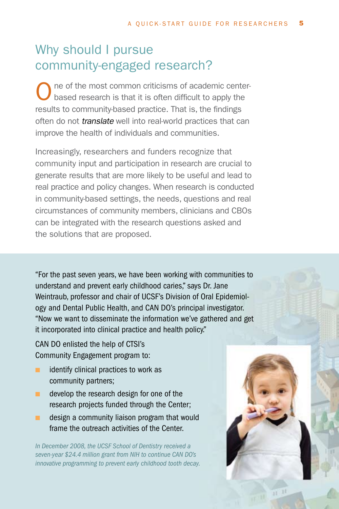## Why should I pursue community-engaged research?

ne of the most common criticisms of academic centerbased research is that it is often difficult to apply the results to community-based practice. That is, the findings often do not *translate* well into real-world practices that can improve the health of individuals and communities.

Increasingly, researchers and funders recognize that community input and participation in research are crucial to generate results that are more likely to be useful and lead to real practice and policy changes. When research is conducted in community-based settings, the needs, questions and real circumstances of community members, clinicians and CBOs can be integrated with the research questions asked and the solutions that are proposed.

"For the past seven years, we have been working with communities to understand and prevent early childhood caries," says Dr. Jane Weintraub, professor and chair of UCSF's Division of Oral Epidemiology and Dental Public Health, and CAN DO's principal investigator. "Now we want to disseminate the information we've gathered and get it incorporated into clinical practice and health policy."

CAN DO enlisted the help of CTSI's Community Engagement program to:

- $\blacksquare$  identify clinical practices to work as community partners;
- n develop the research design for one of the research projects funded through the Center;
- $\blacksquare$  design a community liaison program that would frame the outreach activities of the Center.

*In December 2008, the UCSF School of Dentistry received a seven-year \$24.4 million grant from NIH to continue CAN DO's innovative programming to prevent early childhood tooth decay.*

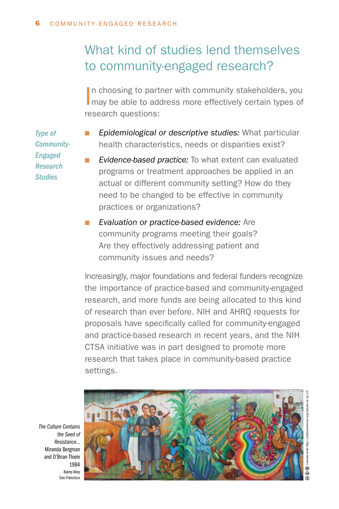## What kind of studies lend themselves to community-engaged research?

In choosing to partner with community stakeholders, you may be able to address more effectively certain types of n choosing to partner with community stakeholders, you research questions:

*Type of Community-Engaged Research Studies*

- **Epidemiological or descriptive studies:** What particular health characteristics, needs or disparities exist?
- *Evidence-based practice:* To what extent can evaluated programs or treatment approaches be applied in an actual or different community setting? How do they need to be changed to be effective in community practices or organizations?
- **n** *Evaluation or practice-based evidence:* Are community programs meeting their goals? Are they effectively addressing patient and community issues and needs?

Increasingly, major foundations and federal funders recognize the importance of practice-based and community-engaged research, and more funds are being allocated to this kind of research than ever before. NIH and AHRQ requests for proposals have specifically called for community-engaged and practice-based research in recent years, and the NIH CTSA initiative was in part designed to promote more research that takes place in community-based practice settings.

*The Culture Contains the Seed of Resistance...* Miranda Bergman and O'Brian Thiele 1984 Balmy Alley San Francisco

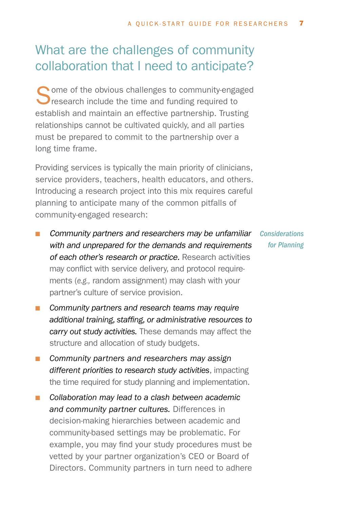### What are the challenges of community collaboration that I need to anticipate?

Some of the obvious challenges to community-engaged<br>
research include the time and funding required to establish and maintain an effective partnership. Trusting relationships cannot be cultivated quickly, and all parties must be prepared to commit to the partnership over a long time frame.

Providing services is typically the main priority of clinicians, service providers, teachers, health educators, and others. Introducing a research project into this mix requires careful planning to anticipate many of the common pitfalls of community-engaged research:

- **n** *Community partners and researchers may be unfamiliar Considerations with and unprepared for the demands and requirements of each other's research or practice.* Research activities may conflict with service delivery, and protocol requirements (*e.g.,* random assignment) may clash with your partner's culture of service provision.
- **n** *Community partners and research teams may require additional training, staffing, or administrative resources to carry out study activities.* These demands may affect the structure and allocation of study budgets.
- **n** *Community partners and researchers may assign different priorities to research study activities*, impacting the time required for study planning and implementation.
- Collaboration may lead to a clash between academic *and community partner cultures.* Differences in decision-making hierarchies between academic and community-based settings may be problematic. For example, you may find your study procedures must be vetted by your partner organization's CEO or Board of Directors. Community partners in turn need to adhere

*for Planning*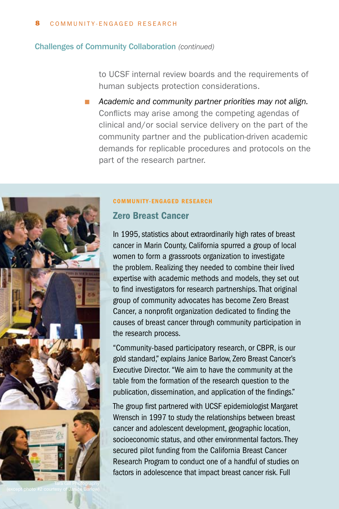#### Challenges of Community Collaboration *(continued)*

to UCSF internal review boards and the requirements of human subjects protection considerations.

Academic and community partner priorities may not align. Conflicts may arise among the competing agendas of clinical and/or social service delivery on the part of the community partner and the publication-driven academic demands for replicable procedures and protocols on the part of the research partner.



#### COMMUNITY-ENGAGED RESEARCH

### Zero Breast Cancer

In 1995, statistics about extraordinarily high rates of breast cancer in Marin County, California spurred a group of local women to form a grassroots organization to investigate the problem. Realizing they needed to combine their lived expertise with academic methods and models, they set out to find investigators for research partnerships. That original group of community advocates has become Zero Breast Cancer, a nonprofit organization dedicated to finding the causes of breast cancer through community participation in the research process.

"Community-based participatory research, or CBPR, is our gold standard," explains Janice Barlow, Zero Breast Cancer's Executive Director. "We aim to have the community at the table from the formation of the research question to the publication, dissemination, and application of the findings."

The group first partnered with UCSF epidemiologist Margaret Wrensch in 1997 to study the relationships between breast cancer and adolescent development, geographic location, socioeconomic status, and other environmental factors. They secured pilot funding from the California Breast Cancer Research Program to conduct one of a handful of studies on factors in adolescence that impact breast cancer risk. Full

(except photo #2 courtesy of Janice Barlow)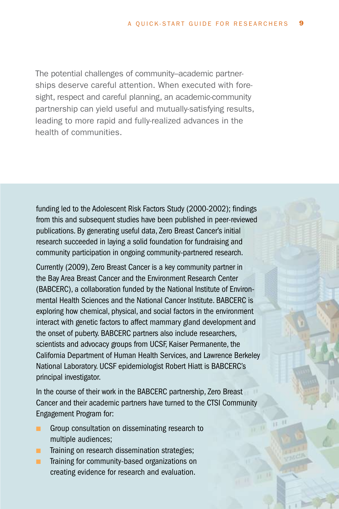The potential challenges of community–academic partnerships deserve careful attention. When executed with foresight, respect and careful planning, an academic-community partnership can yield useful and mutually-satisfying results, leading to more rapid and fully-realized advances in the health of communities.

funding led to the Adolescent Risk Factors Study (2000-2002); findings from this and subsequent studies have been published in peer-reviewed publications. By generating useful data, Zero Breast Cancer's initial research succeeded in laying a solid foundation for fundraising and community participation in ongoing community-partnered research.

Currently (2009), Zero Breast Cancer is a key community partner in the Bay Area Breast Cancer and the Environment Research Center (BABCERC), a collaboration funded by the National Institute of Environmental Health Sciences and the National Cancer Institute. BABCERC is exploring how chemical, physical, and social factors in the environment interact with genetic factors to affect mammary gland development and the onset of puberty. BABCERC partners also include researchers, scientists and advocacy groups from UCSF, Kaiser Permanente, the California Department of Human Health Services, and Lawrence Berkeley National Laboratory. UCSF epidemiologist Robert Hiatt is BABCERC's principal investigator.

In the course of their work in the BABCERC partnership, Zero Breast Cancer and their academic partners have turned to the CTSI Community Engagement Program for:

- **n** Group consultation on disseminating research to multiple audiences;
- **n** Training on research dissemination strategies;
- **n** Training for community-based organizations on creating evidence for research and evaluation.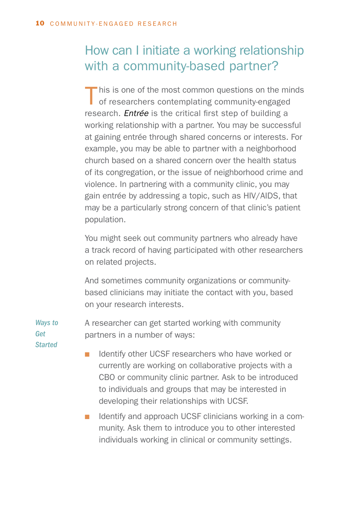## How can I initiate a working relationship with a community-based partner?

This is one of the most common questions on the minds of researchers contemplating community-engaged research. *Entrée* is the critical first step of building a working relationship with a partner. You may be successful at gaining entrée through shared concerns or interests. For example, you may be able to partner with a neighborhood church based on a shared concern over the health status of its congregation, or the issue of neighborhood crime and violence. In partnering with a community clinic, you may gain entrée by addressing a topic, such as HIV/AIDS, that may be a particularly strong concern of that clinic's patient population.

You might seek out community partners who already have a track record of having participated with other researchers on related projects.

And sometimes community organizations or communitybased clinicians may initiate the contact with you, based on your research interests.

A researcher can get started working with community partners in a number of ways: *Ways to Get*

*Started*

■ Identify other UCSF researchers who have worked or currently are working on collaborative projects with a CBO or community clinic partner. Ask to be introduced to individuals and groups that may be interested in developing their relationships with UCSF.

**n** Identify and approach UCSF clinicians working in a community. Ask them to introduce you to other interested individuals working in clinical or community settings.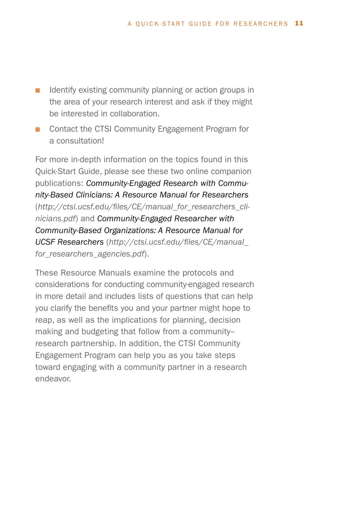- $\blacksquare$  Identify existing community planning or action groups in the area of your research interest and ask if they might be interested in collaboration.
- Contact the CTSI Community Engagement Program for a consultation!

For more in-depth information on the topics found in this Quick-Start Guide, please see these two online companion publications: *Community-Engaged Research with Community-Based Clinicians: A Resource Manual for Researchers* (*http://ctsi.ucsf.edu/files/CE/manual\_for\_researchers\_clinicians.pdf*) and *Community-Engaged Researcher with Community-Based Organizations: A Resource Manual for UCSF Researchers* (*http://ctsi.ucsf.edu/files/CE/manual\_ for\_researchers\_agencies.pdf*).

These Resource Manuals examine the protocols and considerations for conducting community-engaged research in more detail and includes lists of questions that can help you clarify the benefits you and your partner might hope to reap, as well as the implications for planning, decision making and budgeting that follow from a community– research partnership. In addition, the CTSI Community Engagement Program can help you as you take steps toward engaging with a community partner in a research endeavor.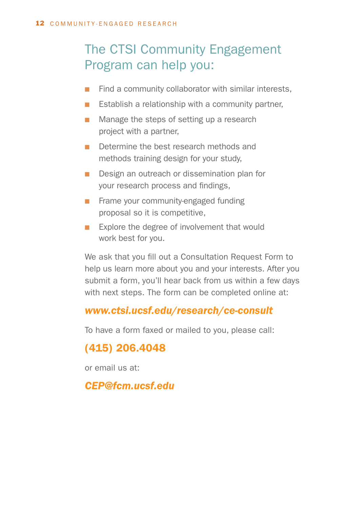## The CTSI Community Engagement Program can help you:

- $\blacksquare$  Find a community collaborator with similar interests,
- **E** Establish a relationship with a community partner,
- $\blacksquare$  Manage the steps of setting up a research project with a partner,
- Determine the best research methods and methods training design for your study,
- **n** Design an outreach or dissemination plan for your research process and findings,
- **n** Frame your community-engaged funding proposal so it is competitive,
- **Explore the degree of involvement that would** work best for you.

We ask that you fill out a Consultation Request Form to help us learn more about you and your interests. After you submit a form, you'll hear back from us within a few days with next steps. The form can be completed online at:

### *www.ctsi.ucsf.edu/research/ce-consult*

To have a form faxed or mailed to you, please call:

### (415) 206.4048

or email us at:

### *CEP@fcm.ucsf.edu*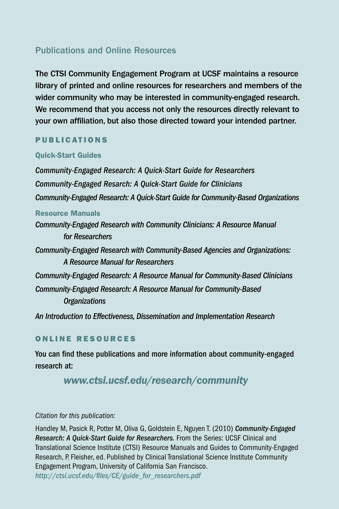### Publications and Online Resources

The CTSI Community Engagement Program at UCSF maintains a resource library of printed and online resources for researchers and members of the wider community who may be interested in community-engaged research. We recommend that you access not only the resources directly relevant to your own affiliation, but also those directed toward your intended partner.

### PUBLICATIONS

### Quick-Start Guides

*Community-Engaged Research: A Quick-Start Guide for Researchers Community-Engaged Resarch: A Quick-Start Guide for Clinicians Community-Engaged Research: A Quick-Start Guide for Community-Based Organizations*

#### Resource Manuals

*Community-Engaged Research with Community Clinicians: A Resource Manual for Researchers*

*Community-Engaged Research with Community-Based Agencies and Organizations: A Resource Manual for Researchers* 

*Community-Engaged Research: A Resource Manual for Community-Based Clinicians Community-Engaged Research: A Resource Manual for Community-Based* 

### *Organizations*

*An Introduction to Effectiveness, Dissemination and Implementation Research*

### ONLINE RESOURCES

You can find these publications and more information about community-engaged research at:

### *www.ctsi.ucsf.edu/research/community*

### *Citation for this publication:*

Handley M, Pasick R, Potter M, Oliva G, Goldstein E, Nguyen T. (2010) *Community-Engaged Research: A Quick-Start Guide for Researchers.* From the Series: UCSF Clinical and Translational Science Institute (CTSI) Resource Manuals and Guides to Community-Engaged Research, P. Fleisher, ed. Published by Clinical Translational Science Institute Community Engagement Program, University of California San Francisco. *http://ctsi.ucsf.edu/files/CE/guide\_for\_researchers.pdf*